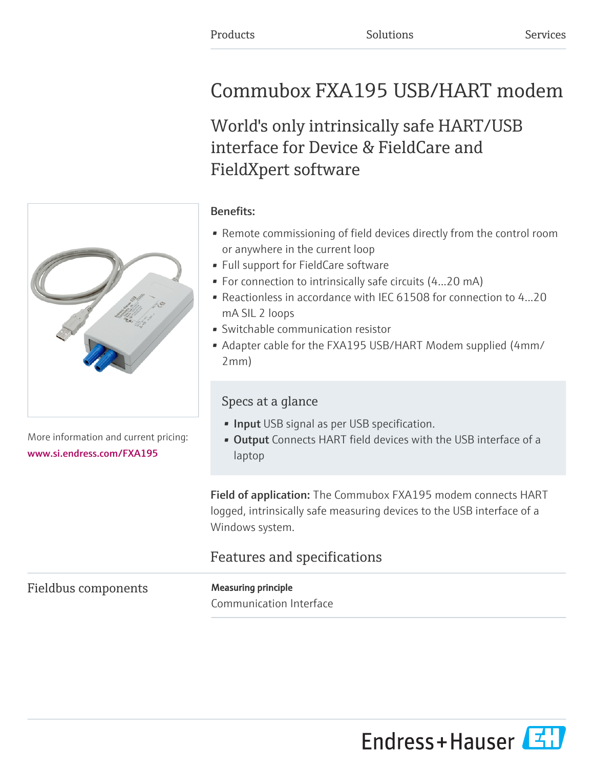# Commubox FXA195 USB/HART modem

World's only intrinsically safe HART/USB interface for Device & FieldCare and FieldXpert software

More information and current pricing: [www.si.endress.com/FXA195](https://www.si.endress.com/FXA195)

#### Benefits:

- Remote commissioning of field devices directly from the control room or anywhere in the current loop
- Full support for FieldCare software
- For connection to intrinsically safe circuits (4...20 mA)
- Reactionless in accordance with IEC 61508 for connection to 4...20 mA SIL 2 loops
- Switchable communication resistor
- Adapter cable for the FXA195 USB/HART Modem supplied (4mm/ 2mm)

## Specs at a glance

- **· Input** USB signal as per USB specification.
- **Output** Connects HART field devices with the USB interface of a laptop

Field of application: The Commubox FXA195 modem connects HART logged, intrinsically safe measuring devices to the USB interface of a Windows system.

# Features and specifications

## Fieldbus components Measuring principle

Communication Interface